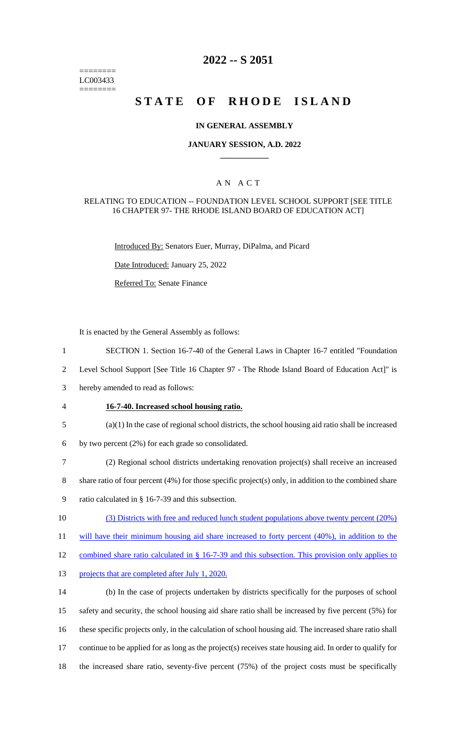======== LC003433 ========

## **2022 -- S 2051**

# **STATE OF RHODE ISLAND**

## **IN GENERAL ASSEMBLY**

### **JANUARY SESSION, A.D. 2022 \_\_\_\_\_\_\_\_\_\_\_\_**

## A N A C T

## RELATING TO EDUCATION -- FOUNDATION LEVEL SCHOOL SUPPORT [SEE TITLE 16 CHAPTER 97- THE RHODE ISLAND BOARD OF EDUCATION ACT]

Introduced By: Senators Euer, Murray, DiPalma, and Picard

Date Introduced: January 25, 2022

Referred To: Senate Finance

It is enacted by the General Assembly as follows:

- 1 SECTION 1. Section 16-7-40 of the General Laws in Chapter 16-7 entitled "Foundation
- 2 Level School Support [See Title 16 Chapter 97 The Rhode Island Board of Education Act]" is
- 3 hereby amended to read as follows:
- 4 **16-7-40. Increased school housing ratio.**
- 5 (a)(1) In the case of regional school districts, the school housing aid ratio shall be increased
- 6 by two percent (2%) for each grade so consolidated.
- 7 (2) Regional school districts undertaking renovation project(s) shall receive an increased
- 8 share ratio of four percent (4%) for those specific project(s) only, in addition to the combined share
- 9 ratio calculated in § 16-7-39 and this subsection.
- 10 (3) Districts with free and reduced lunch student populations above twenty percent (20%)
- 11 will have their minimum housing aid share increased to forty percent (40%), in addition to the

12 combined share ratio calculated in § 16-7-39 and this subsection. This provision only applies to

13 projects that are completed after July 1, 2020.

 (b) In the case of projects undertaken by districts specifically for the purposes of school safety and security, the school housing aid share ratio shall be increased by five percent (5%) for these specific projects only, in the calculation of school housing aid. The increased share ratio shall continue to be applied for as long as the project(s) receives state housing aid. In order to qualify for the increased share ratio, seventy-five percent (75%) of the project costs must be specifically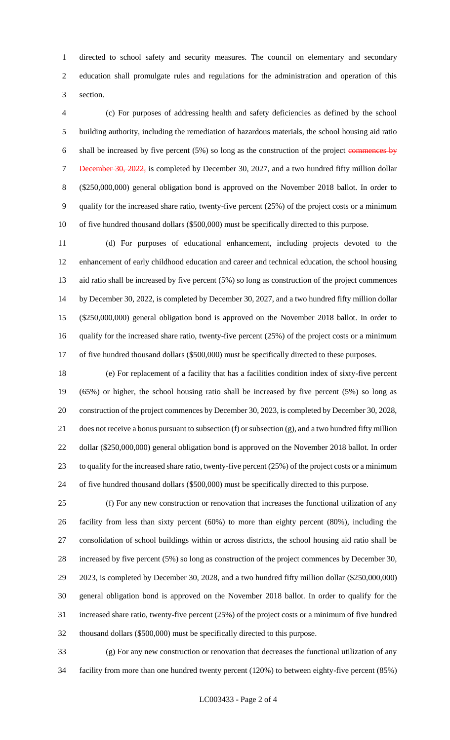directed to school safety and security measures. The council on elementary and secondary education shall promulgate rules and regulations for the administration and operation of this section.

 (c) For purposes of addressing health and safety deficiencies as defined by the school building authority, including the remediation of hazardous materials, the school housing aid ratio 6 shall be increased by five percent (5%) so long as the construction of the project commences by 7 December 30, 2022, is completed by December 30, 2027, and a two hundred fifty million dollar (\$250,000,000) general obligation bond is approved on the November 2018 ballot. In order to qualify for the increased share ratio, twenty-five percent (25%) of the project costs or a minimum of five hundred thousand dollars (\$500,000) must be specifically directed to this purpose.

 (d) For purposes of educational enhancement, including projects devoted to the enhancement of early childhood education and career and technical education, the school housing aid ratio shall be increased by five percent (5%) so long as construction of the project commences by December 30, 2022, is completed by December 30, 2027, and a two hundred fifty million dollar (\$250,000,000) general obligation bond is approved on the November 2018 ballot. In order to qualify for the increased share ratio, twenty-five percent (25%) of the project costs or a minimum 17 of five hundred thousand dollars (\$500,000) must be specifically directed to these purposes.

 (e) For replacement of a facility that has a facilities condition index of sixty-five percent (65%) or higher, the school housing ratio shall be increased by five percent (5%) so long as construction of the project commences by December 30, 2023, is completed by December 30, 2028, does not receive a bonus pursuant to subsection (f) or subsection (g), and a two hundred fifty million dollar (\$250,000,000) general obligation bond is approved on the November 2018 ballot. In order to qualify for the increased share ratio, twenty-five percent (25%) of the project costs or a minimum of five hundred thousand dollars (\$500,000) must be specifically directed to this purpose.

 (f) For any new construction or renovation that increases the functional utilization of any facility from less than sixty percent (60%) to more than eighty percent (80%), including the consolidation of school buildings within or across districts, the school housing aid ratio shall be increased by five percent (5%) so long as construction of the project commences by December 30, 2023, is completed by December 30, 2028, and a two hundred fifty million dollar (\$250,000,000) general obligation bond is approved on the November 2018 ballot. In order to qualify for the increased share ratio, twenty-five percent (25%) of the project costs or a minimum of five hundred thousand dollars (\$500,000) must be specifically directed to this purpose.

 (g) For any new construction or renovation that decreases the functional utilization of any facility from more than one hundred twenty percent (120%) to between eighty-five percent (85%)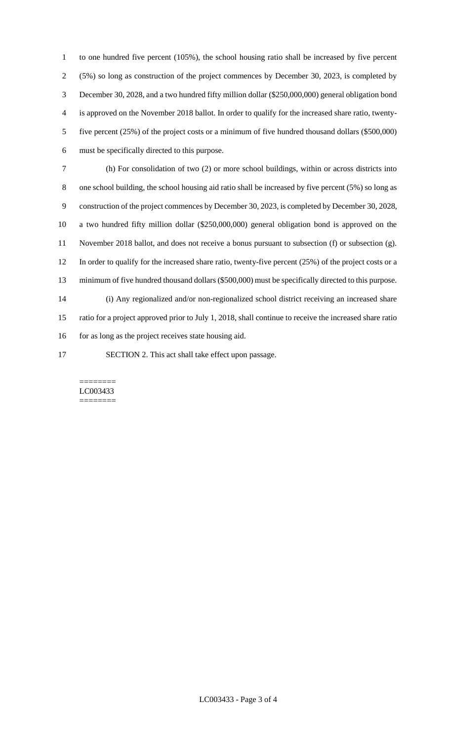to one hundred five percent (105%), the school housing ratio shall be increased by five percent (5%) so long as construction of the project commences by December 30, 2023, is completed by December 30, 2028, and a two hundred fifty million dollar (\$250,000,000) general obligation bond is approved on the November 2018 ballot. In order to qualify for the increased share ratio, twenty- five percent (25%) of the project costs or a minimum of five hundred thousand dollars (\$500,000) must be specifically directed to this purpose.

 (h) For consolidation of two (2) or more school buildings, within or across districts into one school building, the school housing aid ratio shall be increased by five percent (5%) so long as construction of the project commences by December 30, 2023, is completed by December 30, 2028, a two hundred fifty million dollar (\$250,000,000) general obligation bond is approved on the November 2018 ballot, and does not receive a bonus pursuant to subsection (f) or subsection (g). In order to qualify for the increased share ratio, twenty-five percent (25%) of the project costs or a minimum of five hundred thousand dollars (\$500,000) must be specifically directed to this purpose. (i) Any regionalized and/or non-regionalized school district receiving an increased share ratio for a project approved prior to July 1, 2018, shall continue to receive the increased share ratio 16 for as long as the project receives state housing aid.

SECTION 2. This act shall take effect upon passage.

#### ======== LC003433 ========